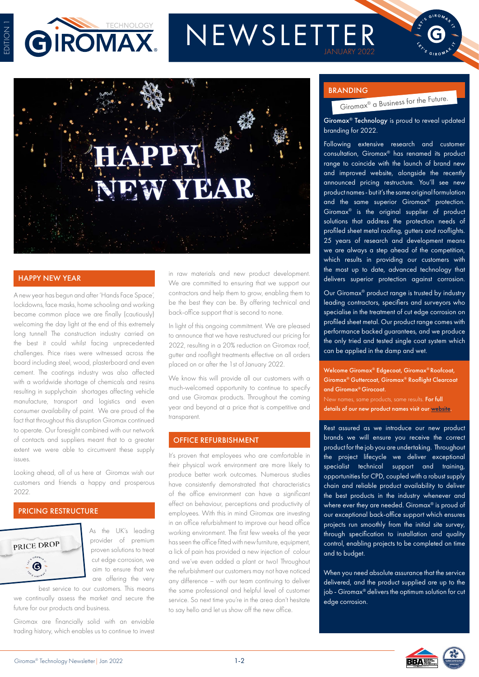



# NEWSLETTER



A new year has begun and after 'Hands Face Space', lockdowns, face masks, home schooling and working became common place we are finally (cautiously) welcoming the day light at the end of this extremely long tunnel! The construction industry carried on the best it could whilst facing unprecedented challenges. Price rises were witnessed across the board including steel, wood, plasterboard and even cement. The coatings industry was also affected with a worldwide shortage of chemicals and resins resulting in supplychain shortages affecting vehicle manufacture, transport and logistics and even consumer availability of paint. We are proud of the fact that throughout this disruption Giromax continued to operate. Our foresight combined with our network of contacts and suppliers meant that to a greater extent we were able to circumvent these supply issues.

Looking ahead, all of us here at Giromax wish our customers and friends a happy and prosperous 2022.

#### PRICING RESTRUCTURE



As the UK's leading provider of premium proven solutions to treat cut edge corrosion, we aim to ensure that we are offering the very

best service to our customers. This means we continually assess the market and secure the future for our products and business.

Giromax are financially solid with an enviable trading history, which enables us to continue to invest

HAPPY NEW YEAR in raw materials and new product development. We are committed to ensuring that we support our contractors and help them to grow, enabling them to be the best they can be. By offering technical and back-office support that is second to none.

> In light of this ongoing commitment. We are pleased to announce that we have restructured our pricing for 2022, resulting in a 20% reduction on Giromax roof, gutter and rooflight treatments effective on all orders placed on or after the 1st of January 2022.

> We know this will provide all our customers with a much-welcomed opportunity to continue to specify and use Giromax products. Throughout the coming year and beyond at a price that is competitive and transparent.

#### OFFICE REFURBISHMENT

It's proven that employees who are comfortable in their physical work environment are more likely to produce better work outcomes. Numerous studies have consistently demonstrated that characteristics of the office environment can have a significant effect on behaviour, perceptions and productivity of employees. With this in mind Giromax are investing in an office refurbishment to improve our head office working environment. The first few weeks of the year has seen the office fitted with new furniture, equipment, a lick of pain has provided a new injection of colour and we've even added a plant or two! Throughout the refurbishment our customers may not have noticed any difference – with our team continuing to deliver the same professional and helpful level of customer service. So next time you're in the area don't hesitate to say hello and let us show off the new office.

#### BRANDING

Giromax® a Business for the Future.

Giromax® Technology is proud to reveal updated branding for 2022.

Following extensive research and customer consultation, Giromax® has renamed its product range to coincide with the launch of brand new and improved website, alongside the recently announced pricing restructure. You'll see new product names - but it's the same original formulation and the same superior Giromax® protection. Giromax® is the original supplier of product solutions that address the protection needs of profiled sheet metal roofing, gutters and rooflights. 25 years of research and development means we are always a step ahead of the competition, which results in providing our customers with the most up to date, advanced technology that delivers superior protection against corrosion.

Our Giromax® product range is trusted by industry leading contractors, specifiers and surveyors who specialise in the treatment of cut edge corrosion on profiled sheet metal. Our product range comes with performance backed guarantees, and we produce the only tried and tested single coat system which can be applied in the damp and wet.

Welcome Giromax® Edgecoat, Giromax® Roofcoat, Giromax® Guttercoat, Giromax® Rooflight Clearcoat and Giromax® Girocoat. New names, same products, same results. For full details of our new product names visit our [website.](https://www.giromax.co.uk)

Rest assured as we introduce our new product brands we will ensure you receive the correct product for the job you are undertaking. Throughout the project lifecycle we deliver exceptional specialist technical support and training, opportunities for CPD, coupled with a robust supply chain and reliable product availability to deliver the best products in the industry whenever and where ever they are needed. Giromax® is proud of our exceptional back-office support which ensures projects run smoothly from the initial site survey, through specification to installation and quality control, enabling projects to be completed on time and to budget.

When you need absolute assurance that the service delivered, and the product supplied are up to the job - Giromax® delivers the optimum solution for cut edge corrosion.